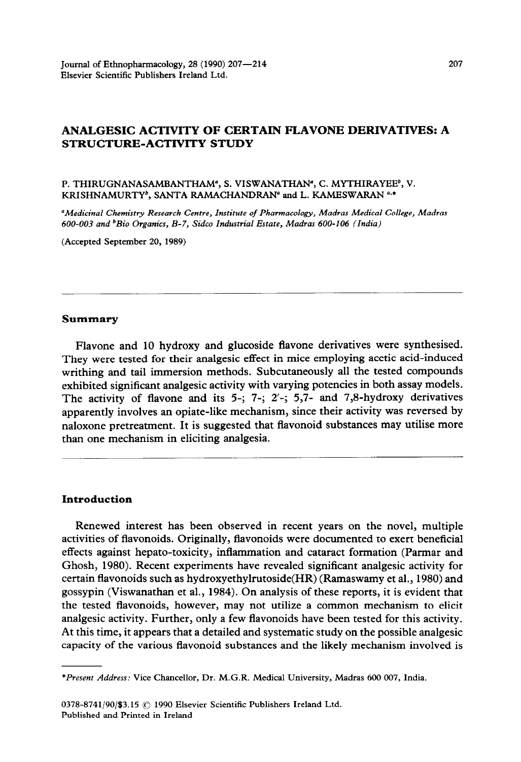# **ANALGESIC ACTIVITY OF CERTAIN FLAVONE DERIVATIVES: A STRUCTURE-ACTIVITY STUDY**

#### P. THIRUGNANASAMBANTHAM<sup>®</sup>, S. VISWANATHAN<sup>®</sup>, C. MYTHIRAYEE<sup>b</sup>, V. **KRISHNAMURTYb, SANTA RAMACHANDRAN" and L. KAMESWARAN ',\***

*"Medicinal Chemistry Research Centre, Institute of Pharmacology, Madras Medical College, Madras 600-003 and 'Bio* **Organics,** *B-7, Sidco Industrial Estate, Madras 600-106 (India)* 

**(Accepted September 20, 1989)** 

#### **Summary**

Flavone and 10 hydroxy and glucoside flavone derivatives were synthesised. They were tested for their analgesic effect in mice employing acetic acid-induced writhing and tail immersion methods. Subcutaneously all the tested compounds exhibited significant analgesic activity with varying potencies in both assay models. The activity of flavone and its 5-; 7-; 2'-; 5,7- and 7,8-hydroxy derivatives apparently involves an opiate-like mechanism, since their activity was reversed by naloxone pretreatment. It is suggested that flavonoid substances may utilise more than one mechanism in eliciting analgesia.

## **Introduction**

Renewed interest has been observed in recent years on the novel, multiple activities of flavonoids. Originally, flavonoids were documented to exert beneficial effects against hepato-toxicity, inflammation and cataract formation (Parmar and Ghosh, 1980). Recent experiments have revealed significant analgesic activity for certain flavonoids such as hydroxyethylrutoside(HR) (Ramaswamy et al., 1980) and gossypin (Viswanathan et al., 1984). On analysis of these reports, it is evident that the tested flavonoids, however, may not utilize a common mechanism to elicit analgesic activity. Further, only a few flavonoids have been tested for this activity. At this time, it appears that a detailed and systematic study on the possible analgesic capacity of the various flavonoid substances and the likely mechanism involved is

*<sup>&#</sup>x27;Present Address:* **Vice Chancellor, Dr. M.G.R. Medical University, Madras 600 007, India.**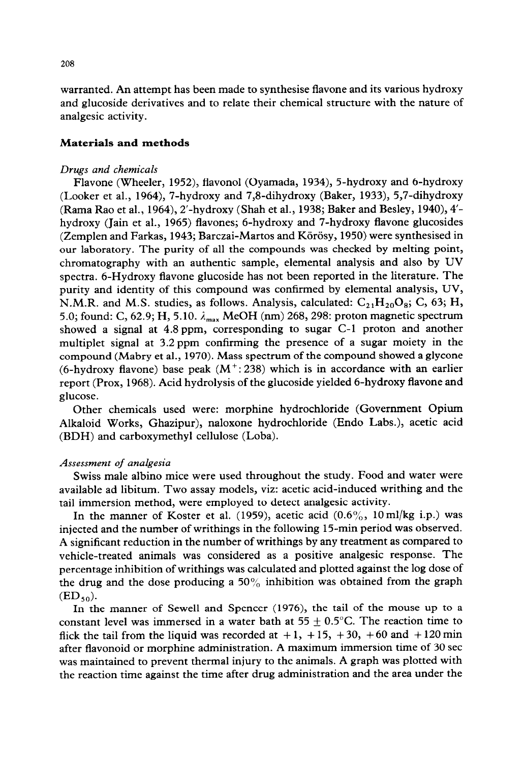warranted. An attempt has been made to synthesise flavone and its various hydroxy and glucoside derivatives and to relate their chemical structure with the nature of analgesic activity.

# **Materials and methods**

#### *Drugs and chemicals*

Flavone (Wheeler, 1952), flavonol (Oyamada, 1934), 5-hydroxy and 6-hydroxy (Looker et al., 1964), 7-hydroxy and 7,8-dihydroxy (Baker, 1933), 5,7-dihydroxy (Rama Rao et al., 1964), 2'-hydroxy (Shah et al., 1938; Baker and Besley, 1940), 4' hydroxy (Jain et al., 1965) flavones; 6-hydroxy and 7-hydroxy flavone glucosides (Zemplen and Farkas, 1943; Barczai-Martos and Körösy, 1950) were synthesised in our laboratory. The purity of all the compounds was checked by melting point, chromatography with an authentic sample, elemental analysis and also by UV spectra. 6-Hydroxy flavone glucoside has not been reported in the literature. The purity and identity of this compound was confirmed by elemental analysis, UV, N.M.R. and M.S. studies, as follows. Analysis, calculated:  $C_{21}H_{20}O_8$ ; C, 63; H, 5.0; found: C, 62.9; H, 5.10.  $\lambda_{\text{max}}$  MeOH (nm) 268, 298: proton magnetic spectrum showed a signal at 4.8 ppm, corresponding to sugar C-l proton and another multiplet signal at 3.2 ppm confirming the presence of a sugar moiety in the compound (Mabry et al., 1970). Mass spectrum of the compound showed a glycone (6-hydroxy flavone) base peak  $(M^+:238)$  which is in accordance with an earlier report (Prox, 1968). Acid hydrolysis of the glucoside yielded 6-hydroxy flavone and glucose.

Other chemicals used were: morphine hydrochloride (Government Opium Alkaloid Works, Ghazipur), naloxone hydrochloride (Endo Labs.), acetic acid (BDH) and carboxymethyl cellulose (Loba).

#### *Assessment of analgesia*

Swiss male albino mice were used throughout the study. Food and water were available ad libitum. Two assay models, viz: acetic acid-induced writhing and the tail immersion method, were employed to detect analgesic activity.

In the manner of Koster et al. (1959), acetic acid  $(0.6\%), 10 \text{ ml/kg}$  i.p.) was injected and the number of writhings in the following 15-min period was observed. A significant reduction in the number of writhings by any treatment as compared to vehicle-treated animals was considered as a positive analgesic response. The percentage inhibition of writhings was calculated and plotted against the log dose of the drug and the dose producing a 50% inhibition was obtained from the graph  $(ED<sub>50</sub>)$ .

In the manner of Sewell and Spencer (1976), the tail of the mouse up to a constant level was immersed in a water bath at  $55 \pm 0.5^{\circ}$ C. The reaction time to flick the tail from the liquid was recorded at  $+1$ ,  $+15$ ,  $+30$ ,  $+60$  and  $+120$  min after flavonoid or morphine administration. A maximum immersion time of 30 set was maintained to prevent thermal injury to the animals. A graph was plotted with the reaction time against the time after drug administration and the area under the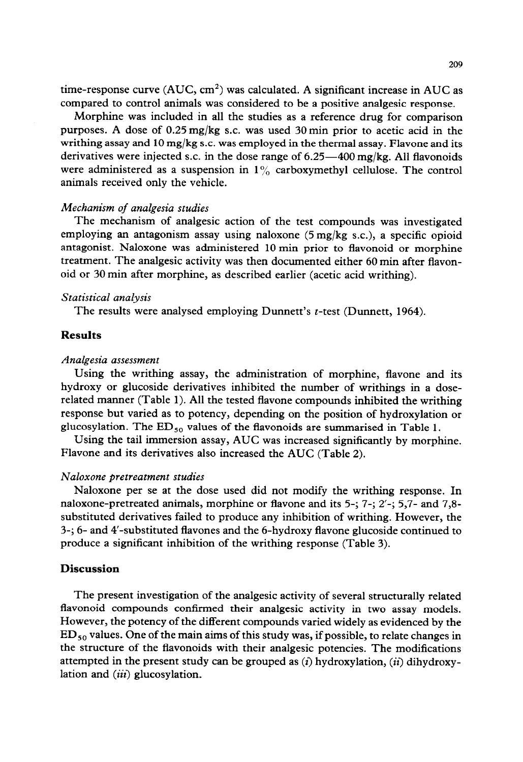time-response curve (AUC,  $cm<sup>2</sup>$ ) was calculated. A significant increase in AUC as compared to control animals was considered to be a positive analgesic response.

Morphine was included in all the studies as a reference drug for comparison purposes. A dose of 0.25 mg/kg S.C. was used 30 min prior to acetic acid in the writhing assay and 10 mg/kg S.C. was employed in the thermal assay. Flavone and its derivatives were injected s.c. in the dose range of  $6.25-400$  mg/kg. All flavonoids were administered as a suspension in  $1\%$  carboxymethyl cellulose. The control animals received only the vehicle.

## *Mechanism of analgesia studies*

The mechanism of analgesic action of the test compounds was investigated employing an antagonism assay using naloxone  $(5 \text{ mg/kg s.c.})$ , a specific opioid antagonist. Naloxone was administered 10 min prior to flavonoid or morphine treatment. The analgesic activity was then documented either 60 min after flavonoid or 30 min after morphine, as described earlier (acetic acid writhing).

#### *Statistical analysis*

The results were analysed employing Dunnett's *t*-test (Dunnett, 1964).

# **Results**

#### *Analgesia assessment*

Using the writhing assay, the administration of morphine, flavone and its hydroxy or glucoside derivatives inhibited the number of writhings in a doserelated manner (Table 1). All the tested flavone compounds inhibited the writhing response but varied as to potency, depending on the position of hydroxylation or glucosylation. The  $ED_{50}$  values of the flavonoids are summarised in Table 1.

Using the tail immersion assay, AUC was increased significantly by morphine. Flavone and its derivatives also increased the AUC (Table 2).

# *Naloxone pretreatment studies*

Naloxone per se at the dose used did not modify the writhing response. In naloxone-pretreated animals, morphine or flavone and its 5-; 7-; 2'-; 5,7- and 7,8 substituted derivatives failed to produce any inhibition of writhing. However, the 3-; 6- and 4'-substituted flavones and the 6-hydroxy flavone glucoside continued to produce a significant inhibition of the writhing response (Table 3).

# **Discussion**

The present investigation of the analgesic activity of several structurally related flavonoid compounds confirmed their analgesic activity in two assay models. However, the potency of the different compounds varied widely as evidenced by the  $ED_{50}$  values. One of the main aims of this study was, if possible, to relate changes in the structure of the flavonoids with their analgesic potencies. The modifications attempted in the present study can be grouped as *(i)* hydroxylation, *(ii>* dihydroxylation and  $(iii)$  glucosylation.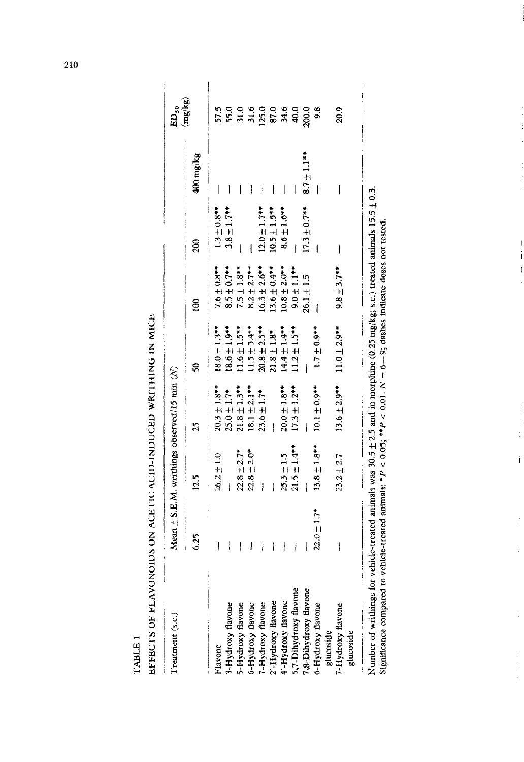|                                               |                 | Mean $\pm$ S.E.M. writhings observed/15 min (N) |                   |                   |                   |                   |                          | $ED_{50}$                                                  |
|-----------------------------------------------|-----------------|-------------------------------------------------|-------------------|-------------------|-------------------|-------------------|--------------------------|------------------------------------------------------------|
|                                               | 6.25            | 12.5                                            | 25                | ន្ត               | $\frac{8}{10}$    | 200               | 400 mg/kg                | (mg/kg)                                                    |
| Flavone                                       | I               | $26.2 \pm 1.0$                                  | $20.3 \pm 1.8***$ | $18.0 \pm 1.3***$ | $7.6 \pm 0.8***$  | $1.3 \pm 0.8***$  | $\mathsf{l}$             | 57.5                                                       |
| 3-Hydroxy flavone                             | I               | Ì                                               | $25.0 \pm 1.7*$   | $18.6 \pm 1.9**$  | $8.5 \pm 0.7$ **  | $3.8 \pm 1.7***$  |                          |                                                            |
| 5-Hydroxy flavone                             | I               | $22.8 \pm 2.7*$                                 | $21.8 \pm 1.3***$ | $1.6 + 1.5**$     | $7.5 \pm 1.8***$  |                   |                          |                                                            |
|                                               | I               | $22.8 \pm 2.0*$                                 | $18.1 \pm 2.1***$ | $11.5 \pm 3.4***$ | $8.2 \pm 2.7***$  |                   |                          |                                                            |
| 6-Hydroxy flavone<br>7-Hydroxy flavone        | ļ               | I                                               | $23.6 \pm 1.7*$   | $20.8 \pm 2.5***$ | $16.3 \pm 2.6**$  | $12.0 \pm 1.7***$ |                          |                                                            |
| '-Hydroxy flavone                             | ļ               |                                                 |                   | $21.8 \pm 1.8$ *  | $13.6 \pm 0.4***$ | $10.5 \pm 1.5***$ | I                        |                                                            |
|                                               | I               | $25.3 \pm 1.5$                                  | $20.0 \pm 1.8***$ | $14.4 \pm 1.4***$ | $10.8 \pm 2.0**$  | $8.6 \pm 1.6***$  | $\overline{\phantom{a}}$ | 5.0<br>5.0<br>5.0<br>5.0<br>5.0<br>5.0<br>5.0<br>5.0<br>20 |
| $4'-Hydroxy$ flavone<br>5,7-Dihydroxy flavone | l               | $21.5 \pm 1.4***$                               | $17.3 \pm 1.2**$  | $11.2 \pm 1.5***$ | $9.0 \pm 1.1$ **  |                   |                          |                                                            |
|                                               |                 | ł                                               |                   |                   | $26.1 + 1.5$      | $17.3 \pm 0.7***$ | $8.7 \pm 1.1$ **         |                                                            |
| 7,8-Dihydroxy flavone<br>6-Hydroxy flavone    | $22.0 \pm 1.7*$ | $13.8 \pm 1.8***$                               | $10.1 \pm 0.9$ ** | $1.7 \pm 0.9$ **  |                   |                   |                          | $\frac{8}{2}$                                              |
| glucoside                                     |                 |                                                 |                   |                   |                   |                   |                          |                                                            |
| 7-Hydroxy flavone<br>glucoside                | į               | $23.2 \pm 2.7$                                  | $13.6 \pm 2.9***$ | $11.0 \pm 2.9***$ | $9.8 \pm 3.7***$  |                   |                          | 20.9                                                       |

EFFECTS OF FLAVONOIDS ON ACETIC ACID-INDUCED WRITHING IN MICE TABLE 1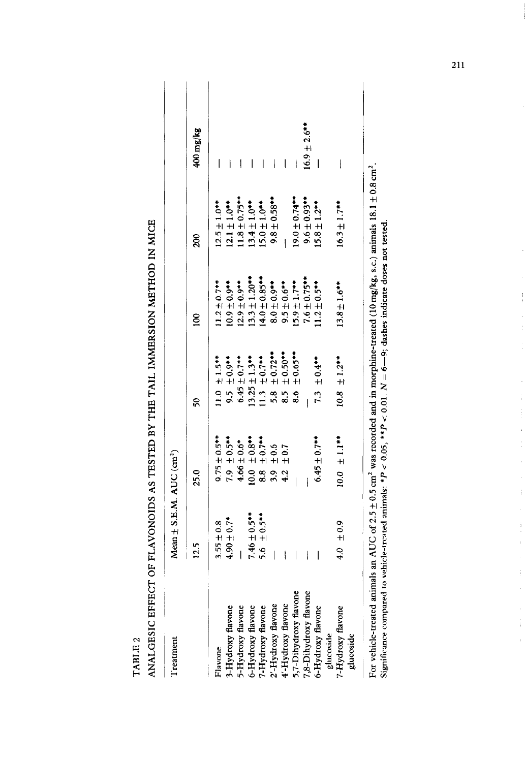TABLE<sub>2</sub>

ANALGESIC EFFECT OF FLAVONOIDS AS TESTED BY THE TAIL IMMERSION METHOD IN MICE

| reatment                                                | Mean $\pm$ S.E.M. AUC (cm <sup>2</sup> ) |                                                          |                                                                                                                               |                                                                                                            |                                                                       |                          |
|---------------------------------------------------------|------------------------------------------|----------------------------------------------------------|-------------------------------------------------------------------------------------------------------------------------------|------------------------------------------------------------------------------------------------------------|-----------------------------------------------------------------------|--------------------------|
|                                                         | 12.5                                     | 25.0                                                     | នី                                                                                                                            | ឨ                                                                                                          | $\frac{8}{3}$                                                         | 400 mg/kg                |
| Flavone                                                 | $3.55 \pm 0.8$                           | $9.75 \pm 0.5$ **                                        |                                                                                                                               |                                                                                                            | $12.5 \pm 1.0***$                                                     | I                        |
| 5-Hydroxy flavone                                       | $4.90 \pm 0.7$ *                         | $7.9 \pm 0.5**$                                          | 11.0 $\pm$ 1.5**<br>9.5 $\pm$ 0.9**<br>6.45 $\pm$ 0.7**                                                                       | $11.2 \pm 0.7$ <sup>**</sup><br>10.9 ± 0.9 <sup>**</sup><br>12.9 ± 0.9**<br>13.3 ± 1.20**<br>14.0 ± 0.85** |                                                                       | Ì                        |
| -Hydroxy flavone                                        |                                          | $4.66 \pm 0.6*$                                          |                                                                                                                               |                                                                                                            |                                                                       | I                        |
| 5-Hydroxy flavone                                       | $7.46 \pm 0.5***$                        | $10.0 \pm 0.8**$<br>8.8 ± 0.7**                          | $13.25 \pm 1.3$ <sup>**</sup><br>11.3 $\pm$ 0.7 <sup>**</sup><br>5.8 $\pm$ 0.72 <sup>**</sup><br>8.5 $\pm$ 0.50 <sup>**</sup> |                                                                                                            | $12.1 \pm 1.0**$<br>11.8 $\pm$ 0.75 <sup>**</sup><br>13.4 $\pm$ 1.0** | I                        |
| '-Hydroxy flavone                                       | $+0.5**$<br>5.6                          |                                                          |                                                                                                                               |                                                                                                            | $15.0 \pm 1.0***$                                                     |                          |
| 2'-Hydroxy flavone                                      |                                          | 3.9                                                      |                                                                                                                               | $8.0 \pm 0.9$ **                                                                                           | $9.8 \pm 0.58**$                                                      | I                        |
|                                                         |                                          | $\begin{array}{c} \pm 0.6 \\ \pm 0.7 \end{array}$<br>4.2 |                                                                                                                               | $9.5 \pm 0.6$ **                                                                                           |                                                                       | I                        |
| 4'-Hydroxy flavone<br>5,7-Dihydroxy flavone             |                                          |                                                          | $± 0.65***$<br>8.6                                                                                                            | $15.9 \pm 1.7***$                                                                                          | $19.0 \pm 0.74***$                                                    |                          |
|                                                         |                                          |                                                          |                                                                                                                               | $7.6 \pm 0.75***$                                                                                          | $***6.0 \pm 0.9$                                                      | $16.9 \pm 2.6$ **        |
| 7,8-Dihydroxy flavone<br>6-Hydroxy flavone<br>glucoside |                                          | $6.45 \pm 0.7***$                                        | $7.3 \pm 0.4***$                                                                                                              | $1.2 \pm 0.5***$                                                                                           | $15.8 \pm 1.2***$                                                     | $\overline{\phantom{a}}$ |
| -Hydroxy flavone<br>glucoside                           | $\pm 0.9$<br>$-4.0$                      | $10.0 \pm 1.1$ **                                        | $10.8 \pm 1.2***$                                                                                                             | $13.8 \pm 1.6***$                                                                                          | $16.3 \pm 1.7***$                                                     | I                        |
|                                                         |                                          |                                                          |                                                                                                                               |                                                                                                            |                                                                       |                          |

For vehicle-treated animals an AUC of 2.5 ± 0.5 cm<sup>2</sup> was recorded and in morphine-treated (10 mg/kg, s.c.) animals 18.1 ± 0.8 cm<sup>2</sup>. Significance compared to vehicle-treated animals: \* $P < 0.05$ , \*\* $P < 0.01$ .  $N = 6 - 9$ ; dashes indicate doses not tested.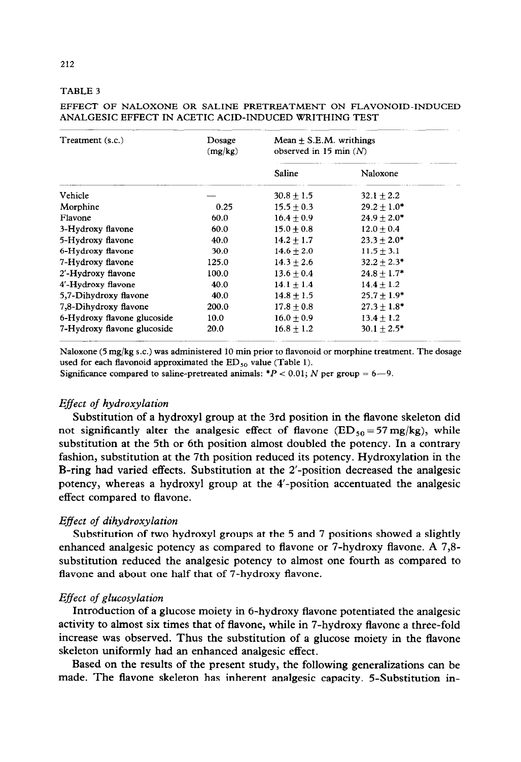# **TABLE 3**

| Treatment (s.c.)            | Dosage<br>(mg/kg) | Mean $\pm$ S.E.M. writhings<br>observed in 15 min $(N)$ |                 |
|-----------------------------|-------------------|---------------------------------------------------------|-----------------|
|                             |                   | Saline                                                  | Naloxone        |
| Vehicle                     |                   | $30.8 + 1.5$                                            | $32.1 + 2.2$    |
| Morphine                    | 0.25              | $15.5 + 0.3$                                            | $29.2 + 1.0*$   |
| Flavone                     | 60.0              | $16.4 + 0.9$                                            | $24.9 + 2.0*$   |
| 3-Hydroxy flavone           | 60.0              | $15.0 + 0.8$                                            | $12.0 + 0.4$    |
| 5-Hydroxy flavone           | 40.0              | $14.2 + 1.7$                                            | $23.3 + 2.0*$   |
| 6-Hydroxy flavone           | 30.0              | $14.6 + 2.0$                                            | $11.5 \pm 3.1$  |
| 7-Hydroxy flavone           | 125.0             | $14.3 + 2.6$                                            | $32.2 + 2.3*$   |
| 2'-Hydroxy flavone          | 100.0             | $13.6 + 0.4$                                            | $24.8 + 1.7*$   |
| 4'-Hydroxy flavone          | 40.0              | $14.1 + 1.4$                                            | $14.4 \pm 1.2$  |
| 5,7-Dihydroxy flavone       | 40.0              | $14.8 \pm 1.5$                                          | $25.7 \pm 1.9*$ |
| 7,8-Dihydroxy flavone       | 200.0             | $17.8 + 0.8$                                            | $27.3 + 1.8*$   |
| 6-Hydroxy flavone glucoside | 10.0              | $16.0 + 0.9$                                            | $13.4 \pm 1.2$  |
| 7-Hydroxy flavone glucoside | 20.0              | $16.8 + 1.2$                                            | $30.1 + 2.5*$   |

## **EFFECT OF NALOXONE OR SALINE PRETREATMENT ON FLAVONOID-INDUCED ANALGESIC EFFECT IN ACETIC ACID-INDUCED WRITHING TEST**

**Naloxone (5 mg/kg s.c.) was administered 10 min prior to flavonoid or morphine treatment. The dosage**  used for each flavonoid approximated the ED<sub>50</sub> value (Table 1).

Significance compared to saline-pretreated animals:  $*P < 0.01$ ; N per group = 6-9.

# *Effect of hydroxylation*

Substitution of a hydroxyl group at the 3rd position in the flavone skeleton did not significantly alter the analgesic effect of flavone  $(ED_{50} = 57 \text{ mg/kg})$ , while substitution at the 5th or 6th position almost doubled the potency. In a contrary fashion, substitution at the 7th position reduced its potency. Hydroxylation in the B-ring had varied effects. Substitution at the 2'-position decreased the analgesic potency, whereas a hydroxyl group at the 4'-position accentuated the analgesic effect compared to flavone.

# *Effect of dihydroxylation*

Substitution of two hydroxyl groups at the 5 and 7 positions showed a slightly enhanced analgesic potency as compared to flavone or 7-hydroxy flavone. A 7,8 substitution reduced the analgesic potency to almost one fourth as compared to flavone and about one half that of 7-hydroxy flavone.

# *Effect of glucosylation*

Introduction of a glucose moiety in 6-hydroxy flavone potentiated the analgesic activity to almost six times that of flavone, while in 7-hydroxy flavone a three-fold increase was observed. Thus the substitution of a glucose moiety in the flavone skeleton uniformly had an enhanced analgesic effect.

Based on the results of the present study, the following generalizations can be made. The flavone skeleton has inherent analgesic capacity. 5-Substitution in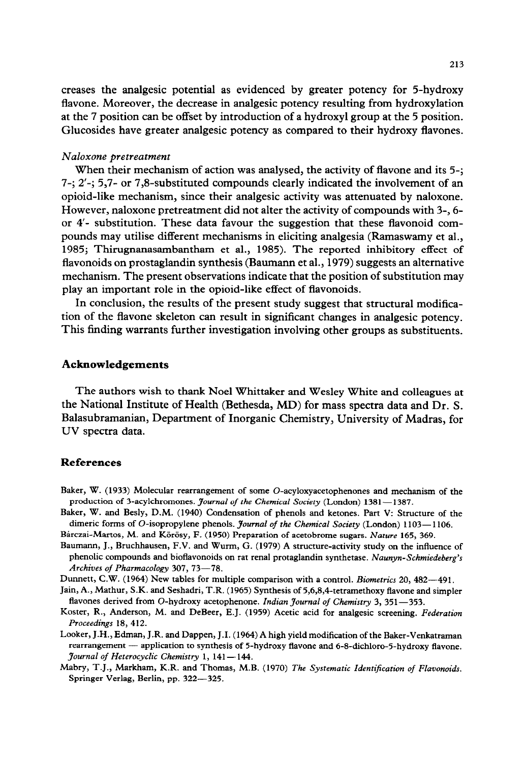creases the analgesic potential as evidenced by greater potency for 5-hydroxy flavone. Moreover, the decrease in analgesic potency resulting from hydroxylation at the 7 position can be offset by introduction of a hydroxyl group at the 5 position. Glucosides have greater analgesic potency as compared to their hydroxy flavones.

#### *Naloxone pretreatment*

When their mechanism of action was analysed, the activity of flavone and its  $5$ -; 7-; 2'-; 5,7- or 7,8-substituted compounds clearly indicated the involvement of an opioid-like mechanism, since their analgesic activity was attenuated by naloxone. However, naloxone pretreatment did not alter the activity of compounds with 3-, 6 or 4'- substitution. These data favour the suggestion that these flavonoid compounds may utilise different mechanisms in eliciting analgesia (Ramaswamy et al., 1985; Thirugnanasambantham et al., 1985). The reported inhibitory effect of flavonoids on prostaglandin synthesis (Baumann et al., 1979) suggests an alternative mechanism. The present observations indicate that the position of substitution may play an important role in the opioid-like effect of flavonoids.

In conclusion, the results of the present study suggest that structural modification of the flavone skeleton can result in significant changes in analgesic potency. This finding warrants further investigation involving other groups as substituents.

# **Acknowledgements**

The authors wish to thank Noel Whittaker and Wesley White and colleagues at the National Institute of Health (Bethesda, MD) for mass spectra data and Dr. S. Balasubramanian, Department of Inorganic Chemistry, University of Madras, for UV spectra data.

#### **References**

- **Baker, W. (1933) Molecular rearrangement of some 0-acyloxyacetophenones and mechanism of the production of 3-acylchromones. Journal** *of the Chemical Society* **(London) 1381-1387.**
- **Baker, W. and Besly, D.M. (1940) Condensation of phenols and ketones. Part V: Structure of the dimeric forms of 0-isopropylene phenols. Journal** *of the Chemical Society* **(London) 1103- 1106.**

Bárczai-Martos, M. and Körösy, F. (1950) Preparation of acetobrome sugars. *Nature* 165, 369.

- **Baumarm, J., Bruchhausen, F.V. and Wurm, G. (1979) A structure-activity study on the influence of phenolic compounds and biotlavonoids on rat renal protaglandin synthetase.** *Naunyn-Schmiedeberg's Archives of Pharmacology 307, 73-78.*
- **Dunnett, C.W. (1964) New tables for multiple comparison with a control.** *Biometrics 20, 482-491.*

Jain, A., Mathur, S.K. and Seshadri, T.R. (1965) Synthesis of 5,6,8,4-tetramethoxy flavone and simpler flavones derived from O-hydroxy acetophenone. *Indian Journal of Chemistry 3*, 351-353.

- **Koster, R., Anderson, M. and DeBeer, E.J. (1959) Acetic acid for analgesic screening.** *Federation Z'roceedings 18, 412.*
- **Looker, J.H., Edman, J.R. and Dappen, J.I. (1964) A high yield modification of the Baker-Venkatraman**  rearrangement - application to synthesis of 5-hydroxy flavone and 6-8-dichloro-5-hydroxy flavone. **Journal** *of Heterocyclic Chemistry* **1, 141- 144.**
- **Mabry, T.J., Markham, K.R. and Thomas, M.B. (1970)** *The Systematic Identification of Flavonoids.*  **Springer Verlag, Berlin, pp. 322-325.**